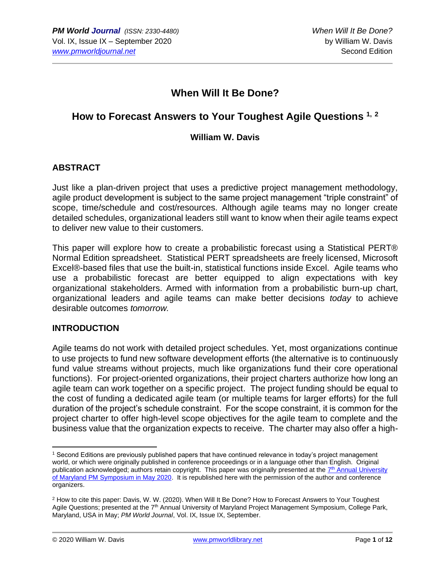# **When Will It Be Done?**

# **How to Forecast Answers to Your Toughest Agile Questions 1, <sup>2</sup>**

#### **William W. Davis**

# **ABSTRACT**

Just like a plan-driven project that uses a predictive project management methodology, agile product development is subject to the same project management "triple constraint" of scope, time/schedule and cost/resources. Although agile teams may no longer create detailed schedules, organizational leaders still want to know when their agile teams expect to deliver new value to their customers.

This paper will explore how to create a probabilistic forecast using a Statistical PERT® Normal Edition spreadsheet. Statistical PERT spreadsheets are freely licensed, Microsoft Excel®-based files that use the built-in, statistical functions inside Excel. Agile teams who use a probabilistic forecast are better equipped to align expectations with key organizational stakeholders. Armed with information from a probabilistic burn-up chart, organizational leaders and agile teams can make better decisions *today* to achieve desirable outcomes *tomorrow.*

#### **INTRODUCTION**

Agile teams do not work with detailed project schedules. Yet, most organizations continue to use projects to fund new software development efforts (the alternative is to continuously fund value streams without projects, much like organizations fund their core operational functions). For project-oriented organizations, their project charters authorize how long an agile team can work together on a specific project. The project funding should be equal to the cost of funding a dedicated agile team (or multiple teams for larger efforts) for the full duration of the project's schedule constraint. For the scope constraint, it is common for the project charter to offer high-level scope objectives for the agile team to complete and the business value that the organization expects to receive. The charter may also offer a high-

<sup>1</sup> Second Editions are previously published papers that have continued relevance in today's project management world, or which were originally published in conference proceedings or in a language other than English. Original publication acknowledged; authors retain copyright. This paper was originally presented at the 7<sup>th</sup> Annual University [of Maryland PM Symposium in May 2020.](https://pmsymposium.umd.edu/pm2020/) It is republished here with the permission of the author and conference organizers.

<sup>2</sup> How to cite this paper: Davis, W. W. (2020). When Will It Be Done? How to Forecast Answers to Your Toughest Agile Questions; presented at the 7<sup>th</sup> Annual University of Maryland Project Management Symposium, College Park, Maryland, USA in May; *PM World Journal*, Vol. IX, Issue IX, September.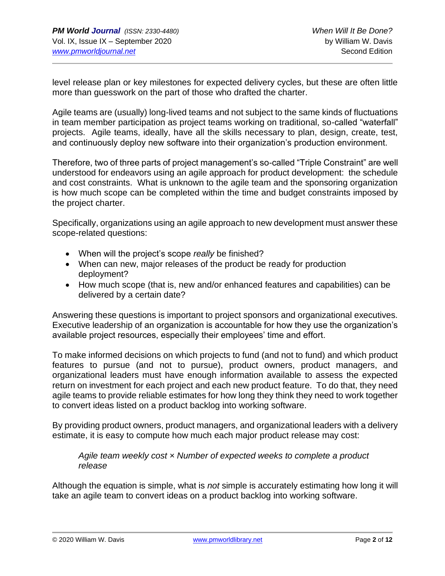level release plan or key milestones for expected delivery cycles, but these are often little more than guesswork on the part of those who drafted the charter.

Agile teams are (usually) long-lived teams and not subject to the same kinds of fluctuations in team member participation as project teams working on traditional, so-called "waterfall" projects. Agile teams, ideally, have all the skills necessary to plan, design, create, test, and continuously deploy new software into their organization's production environment.

Therefore, two of three parts of project management's so-called "Triple Constraint" are well understood for endeavors using an agile approach for product development: the schedule and cost constraints. What is unknown to the agile team and the sponsoring organization is how much scope can be completed within the time and budget constraints imposed by the project charter.

Specifically, organizations using an agile approach to new development must answer these scope-related questions:

- When will the project's scope *really* be finished?
- When can new, major releases of the product be ready for production deployment?
- How much scope (that is, new and/or enhanced features and capabilities) can be delivered by a certain date?

Answering these questions is important to project sponsors and organizational executives. Executive leadership of an organization is accountable for how they use the organization's available project resources, especially their employees' time and effort.

To make informed decisions on which projects to fund (and not to fund) and which product features to pursue (and not to pursue), product owners, product managers, and organizational leaders must have enough information available to assess the expected return on investment for each project and each new product feature. To do that, they need agile teams to provide reliable estimates for how long they think they need to work together to convert ideas listed on a product backlog into working software.

By providing product owners, product managers, and organizational leaders with a delivery estimate, it is easy to compute how much each major product release may cost:

*Agile team weekly cost × Number of expected weeks to complete a product release*

Although the equation is simple, what is *not* simple is accurately estimating how long it will take an agile team to convert ideas on a product backlog into working software.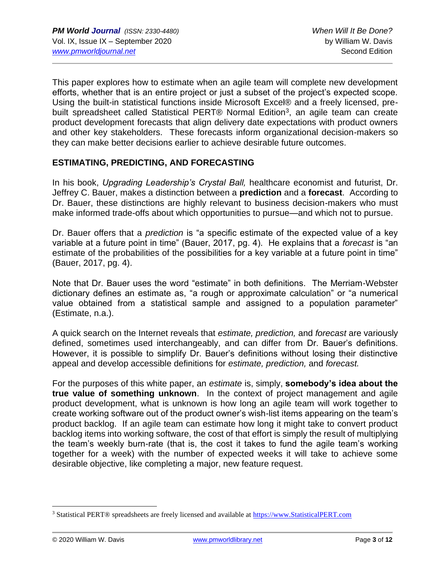This paper explores how to estimate when an agile team will complete new development efforts, whether that is an entire project or just a subset of the project's expected scope. Using the built-in statistical functions inside Microsoft Excel® and a freely licensed, prebuilt spreadsheet called Statistical PERT® Normal Edition<sup>3</sup>, an agile team can create product development forecasts that align delivery date expectations with product owners and other key stakeholders. These forecasts inform organizational decision-makers so they can make better decisions earlier to achieve desirable future outcomes.

#### **ESTIMATING, PREDICTING, AND FORECASTING**

In his book, *Upgrading Leadership's Crystal Ball,* healthcare economist and futurist, Dr. Jeffrey C. Bauer, makes a distinction between a **prediction** and a **forecast**. According to Dr. Bauer, these distinctions are highly relevant to business decision-makers who must make informed trade-offs about which opportunities to pursue—and which not to pursue.

Dr. Bauer offers that a *prediction* is "a specific estimate of the expected value of a key variable at a future point in time" (Bauer, 2017, pg. 4). He explains that a *forecast* is "an estimate of the probabilities of the possibilities for a key variable at a future point in time" (Bauer, 2017, pg. 4).

Note that Dr. Bauer uses the word "estimate" in both definitions. The Merriam-Webster dictionary defines an estimate as, "a rough or approximate calculation" or "a numerical value obtained from a statistical sample and assigned to a population parameter" (Estimate, n.a.).

A quick search on the Internet reveals that *estimate, prediction,* and *forecast* are variously defined, sometimes used interchangeably, and can differ from Dr. Bauer's definitions. However, it is possible to simplify Dr. Bauer's definitions without losing their distinctive appeal and develop accessible definitions for *estimate, prediction,* and *forecast.*

For the purposes of this white paper, an *estimate* is, simply, **somebody's idea about the true value of something unknown**. In the context of project management and agile product development, what is unknown is how long an agile team will work together to create working software out of the product owner's wish-list items appearing on the team's product backlog. If an agile team can estimate how long it might take to convert product backlog items into working software, the cost of that effort is simply the result of multiplying the team's weekly burn-rate (that is, the cost it takes to fund the agile team's working together for a week) with the number of expected weeks it will take to achieve some desirable objective, like completing a major, new feature request.

<sup>3</sup> Statistical PERT® spreadsheets are freely licensed and available at [https://www.StatisticalPERT.com](https://www.statisticalpert.com/)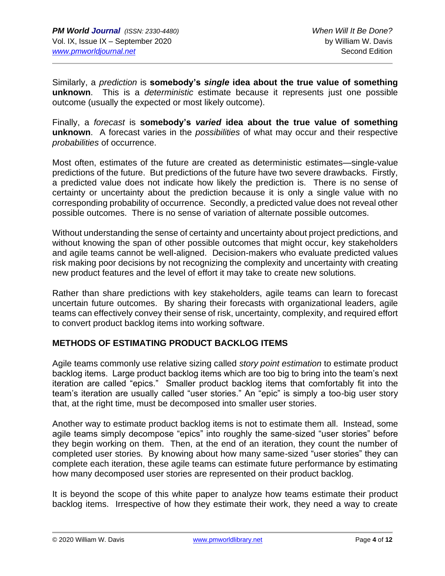Similarly, a *prediction* is **somebody's** *single* **idea about the true value of something unknown**. This is a *deterministic* estimate because it represents just one possible outcome (usually the expected or most likely outcome).

Finally, a *forecast* is **somebody's** *varied* **idea about the true value of something unknown**. A forecast varies in the *possibilities* of what may occur and their respective *probabilities* of occurrence.

Most often, estimates of the future are created as deterministic estimates—single-value predictions of the future. But predictions of the future have two severe drawbacks. Firstly, a predicted value does not indicate how likely the prediction is. There is no sense of certainty or uncertainty about the prediction because it is only a single value with no corresponding probability of occurrence. Secondly, a predicted value does not reveal other possible outcomes. There is no sense of variation of alternate possible outcomes.

Without understanding the sense of certainty and uncertainty about project predictions, and without knowing the span of other possible outcomes that might occur, key stakeholders and agile teams cannot be well-aligned. Decision-makers who evaluate predicted values risk making poor decisions by not recognizing the complexity and uncertainty with creating new product features and the level of effort it may take to create new solutions.

Rather than share predictions with key stakeholders, agile teams can learn to forecast uncertain future outcomes. By sharing their forecasts with organizational leaders, agile teams can effectively convey their sense of risk, uncertainty, complexity, and required effort to convert product backlog items into working software.

# **METHODS OF ESTIMATING PRODUCT BACKLOG ITEMS**

Agile teams commonly use relative sizing called *story point estimation* to estimate product backlog items. Large product backlog items which are too big to bring into the team's next iteration are called "epics." Smaller product backlog items that comfortably fit into the team's iteration are usually called "user stories." An "epic" is simply a too-big user story that, at the right time, must be decomposed into smaller user stories.

Another way to estimate product backlog items is not to estimate them all. Instead, some agile teams simply decompose "epics" into roughly the same-sized "user stories" before they begin working on them. Then, at the end of an iteration, they count the number of completed user stories. By knowing about how many same-sized "user stories" they can complete each iteration, these agile teams can estimate future performance by estimating how many decomposed user stories are represented on their product backlog.

It is beyond the scope of this white paper to analyze how teams estimate their product backlog items. Irrespective of how they estimate their work, they need a way to create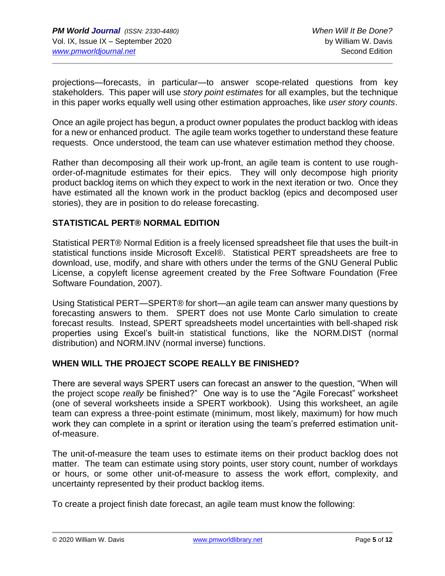projections—forecasts, in particular—to answer scope-related questions from key stakeholders. This paper will use *story point estimates* for all examples, but the technique in this paper works equally well using other estimation approaches, like *user story counts*.

Once an agile project has begun, a product owner populates the product backlog with ideas for a new or enhanced product. The agile team works together to understand these feature requests. Once understood, the team can use whatever estimation method they choose.

Rather than decomposing all their work up-front, an agile team is content to use roughorder-of-magnitude estimates for their epics. They will only decompose high priority product backlog items on which they expect to work in the next iteration or two. Once they have estimated all the known work in the product backlog (epics and decomposed user stories), they are in position to do release forecasting.

#### **STATISTICAL PERT® NORMAL EDITION**

Statistical PERT® Normal Edition is a freely licensed spreadsheet file that uses the built-in statistical functions inside Microsoft Excel®. Statistical PERT spreadsheets are free to download, use, modify, and share with others under the terms of the GNU General Public License, a copyleft license agreement created by the Free Software Foundation (Free Software Foundation, 2007).

Using Statistical PERT—SPERT® for short—an agile team can answer many questions by forecasting answers to them. SPERT does not use Monte Carlo simulation to create forecast results. Instead, SPERT spreadsheets model uncertainties with bell-shaped risk properties using Excel's built-in statistical functions, like the NORM.DIST (normal distribution) and NORM.INV (normal inverse) functions.

#### **WHEN WILL THE PROJECT SCOPE REALLY BE FINISHED?**

There are several ways SPERT users can forecast an answer to the question, "When will the project scope *really* be finished?" One way is to use the "Agile Forecast" worksheet (one of several worksheets inside a SPERT workbook). Using this worksheet, an agile team can express a three-point estimate (minimum, most likely, maximum) for how much work they can complete in a sprint or iteration using the team's preferred estimation unitof-measure.

The unit-of-measure the team uses to estimate items on their product backlog does not matter. The team can estimate using story points, user story count, number of workdays or hours, or some other unit-of-measure to assess the work effort, complexity, and uncertainty represented by their product backlog items.

To create a project finish date forecast, an agile team must know the following: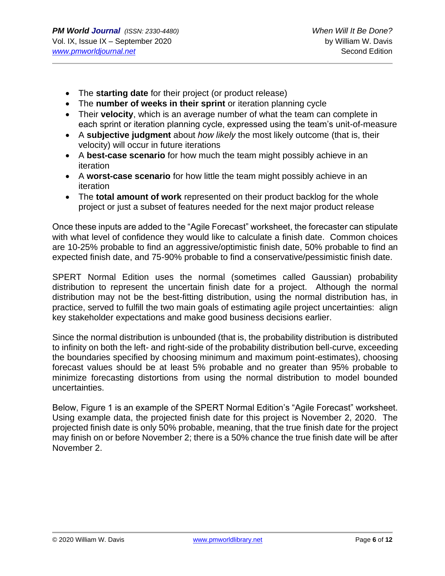- The **starting date** for their project (or product release)
- The **number of weeks in their sprint** or iteration planning cycle
- Their **velocity**, which is an average number of what the team can complete in each sprint or iteration planning cycle, expressed using the team's unit-of-measure
- A **subjective judgment** about *how likely* the most likely outcome (that is, their velocity) will occur in future iterations
- A **best-case scenario** for how much the team might possibly achieve in an iteration
- A **worst-case scenario** for how little the team might possibly achieve in an iteration
- The **total amount of work** represented on their product backlog for the whole project or just a subset of features needed for the next major product release

Once these inputs are added to the "Agile Forecast" worksheet, the forecaster can stipulate with what level of confidence they would like to calculate a finish date. Common choices are 10-25% probable to find an aggressive/optimistic finish date, 50% probable to find an expected finish date, and 75-90% probable to find a conservative/pessimistic finish date.

SPERT Normal Edition uses the normal (sometimes called Gaussian) probability distribution to represent the uncertain finish date for a project. Although the normal distribution may not be the best-fitting distribution, using the normal distribution has, in practice, served to fulfill the two main goals of estimating agile project uncertainties: align key stakeholder expectations and make good business decisions earlier.

Since the normal distribution is unbounded (that is, the probability distribution is distributed to infinity on both the left- and right-side of the probability distribution bell-curve, exceeding the boundaries specified by choosing minimum and maximum point-estimates), choosing forecast values should be at least 5% probable and no greater than 95% probable to minimize forecasting distortions from using the normal distribution to model bounded uncertainties.

Below, Figure 1 is an example of the SPERT Normal Edition's "Agile Forecast" worksheet. Using example data, the projected finish date for this project is November 2, 2020. The projected finish date is only 50% probable, meaning, that the true finish date for the project may finish on or before November 2; there is a 50% chance the true finish date will be after November 2.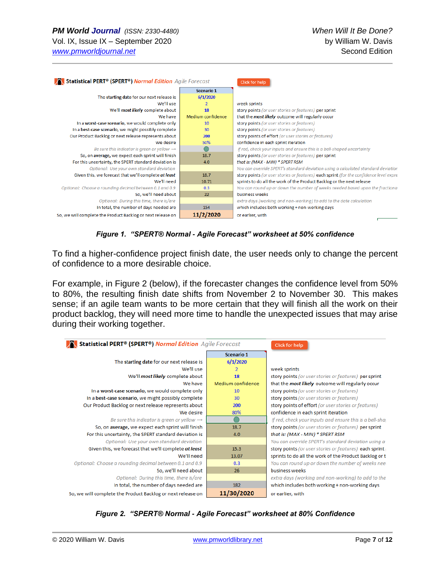| Statistical PERT <sup>®</sup> (SPERT <sup>®</sup> ) Normal Edition Agile Forecast |                   | Click for help                                                                         |  |  |
|-----------------------------------------------------------------------------------|-------------------|----------------------------------------------------------------------------------------|--|--|
|                                                                                   | <b>Scenario 1</b> |                                                                                        |  |  |
| The starting date for our next release is                                         | 6/1/2020          |                                                                                        |  |  |
| We'll use                                                                         | $\overline{2}$    | week sprints                                                                           |  |  |
| We'll most likely complete about                                                  | 18                | story points (or user stories or features) per sprint                                  |  |  |
| We have                                                                           | Medium confidence | that the most likely outcome will regularly occur                                      |  |  |
| In a worst-case scenario, we would complete only                                  | 10                | story points (or user stories or features)                                             |  |  |
| In a best-case scenario, we might possibly complete                               | 30                | story points (or user stories or features)                                             |  |  |
| Our Product Backlog or next release represents about                              | 200               | story points of effort (or user stories or features)                                   |  |  |
| We desire                                                                         | 50%               | confidence in each sprint iteration                                                    |  |  |
| Be sure this indicator is green or yellow $\rightarrow$                           |                   | if red, check your inputs and ensure this is a bell-shaped uncertainty                 |  |  |
| So, on average, we expect each sprint will finish                                 | 18.7              | story points (or user stories or features) per sprint                                  |  |  |
| For this uncertainty, the SPERT standard deviation is                             | 4.0               | that is: (MAX - MIN) * SPERT RSM                                                       |  |  |
| Optional: Use your own standard deviation                                         |                   | You can override SPERT's standard deviation using a calculated standard deviation      |  |  |
| Given this, we forecast that we'll complete at least                              | 18.7              | story points (or user stories or features) each sprint (for the confidence level expre |  |  |
| We'll need                                                                        | 10.71             | sprints to do all the work of the Product Backlog or the next release                  |  |  |
| Optional: Choose a rounding decimal between 0.1 and 0.9                           | 0.3               | You can round up or down the number of weeks needed based upon the fractional          |  |  |
| So, we'll need about                                                              | 22                | business weeks                                                                         |  |  |
| Optional: During this time, there is/are                                          |                   | extra days (working and non-working) to add to the date calculation                    |  |  |
| In total, the number of days needed are<br>154                                    |                   | which includes both working + non-working days                                         |  |  |
| So, we will complete the Product Backlog or next release on                       | 11/2/2020         | or earlier, with                                                                       |  |  |

*Figure 1. "SPERT® Normal - Agile Forecast" worksheet at 50% confidence*

To find a higher-confidence project finish date, the user needs only to change the percent of confidence to a more desirable choice.

For example, in Figure 2 (below), if the forecaster changes the confidence level from 50% to 80%, the resulting finish date shifts from November 2 to November 30. This makes sense; if an agile team wants to be more certain that they will finish all the work on their product backlog, they will need more time to handle the unexpected issues that may arise during their working together.

| Statistical PERT <sup>®</sup> (SPERT <sup>®</sup> ) Normal Edition Agile Forecast |                   | Click for help                                           |
|-----------------------------------------------------------------------------------|-------------------|----------------------------------------------------------|
| <b>Scenario 1</b>                                                                 |                   |                                                          |
| The starting date for our next release is                                         | 6/1/2020          |                                                          |
| We'll use                                                                         | 2                 | week sprints                                             |
| We'll most likely complete about                                                  | 18                | story points (or user stories or features) per sprint    |
| We have                                                                           | Medium confidence | that the <i>most likely</i> outcome will regularly occur |
| In a worst-case scenario, we would complete only                                  | 10                | story points (or user stories or features)               |
| In a best-case scenario, we might possibly complete                               | 30                | story points (or user stories or features)               |
| Our Product Backlog or next release represents about                              | 200               | story points of effort (or user stories or features)     |
| We desire                                                                         | 80%               | confidence in each sprint iteration                      |
| Be sure this indicator is green or yellow $\rightarrow$                           |                   | if red, check your inputs and ensure this is a bell-shaj |
| So, on average, we expect each sprint will finish                                 | 18.7              | story points (or user stories or features) per sprint    |
| For this uncertainty, the SPERT standard deviation is                             | 4.0               | that is: (MAX - MIN) * SPERT RSM                         |
| Optional: Use your own standard deviation                                         |                   | You can override SPERT's standard deviation using a      |
| Given this, we forecast that we'll complete at least                              | 15.3              | story points (or user stories or features) each sprint   |
| We'll need                                                                        | 13.07             | sprints to do all the work of the Product Backlog or t   |
| Optional: Choose a rounding decimal between 0.1 and 0.9                           | 0.3               | You can round up or down the number of weeks need        |
| So, we'll need about                                                              | 26                | business weeks                                           |
| Optional: During this time, there is/are                                          |                   | extra days (working and non-working) to add to the       |
| In total, the number of days needed are                                           | 182               | which includes both working + non-working days           |
| So, we will complete the Product Backlog or next release on                       | 11/30/2020        | or earlier, with                                         |

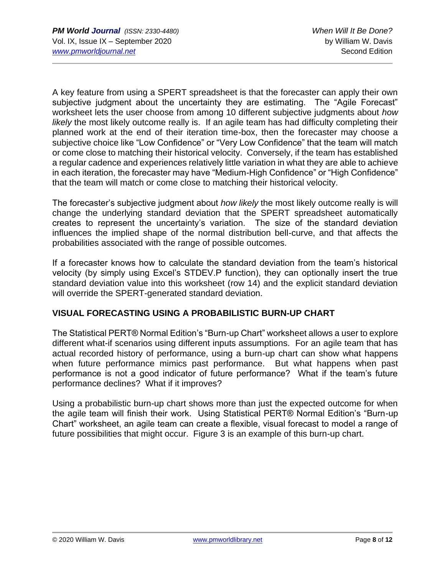A key feature from using a SPERT spreadsheet is that the forecaster can apply their own subjective judgment about the uncertainty they are estimating. The "Agile Forecast" worksheet lets the user choose from among 10 different subjective judgments about *how likely* the most likely outcome really is. If an agile team has had difficulty completing their planned work at the end of their iteration time-box, then the forecaster may choose a subjective choice like "Low Confidence" or "Very Low Confidence" that the team will match or come close to matching their historical velocity. Conversely, if the team has established a regular cadence and experiences relatively little variation in what they are able to achieve in each iteration, the forecaster may have "Medium-High Confidence" or "High Confidence" that the team will match or come close to matching their historical velocity.

The forecaster's subjective judgment about *how likely* the most likely outcome really is will change the underlying standard deviation that the SPERT spreadsheet automatically creates to represent the uncertainty's variation. The size of the standard deviation influences the implied shape of the normal distribution bell-curve, and that affects the probabilities associated with the range of possible outcomes.

If a forecaster knows how to calculate the standard deviation from the team's historical velocity (by simply using Excel's STDEV.P function), they can optionally insert the true standard deviation value into this worksheet (row 14) and the explicit standard deviation will override the SPERT-generated standard deviation.

# **VISUAL FORECASTING USING A PROBABILISTIC BURN-UP CHART**

The Statistical PERT® Normal Edition's "Burn-up Chart" worksheet allows a user to explore different what-if scenarios using different inputs assumptions. For an agile team that has actual recorded history of performance, using a burn-up chart can show what happens when future performance mimics past performance. But what happens when past performance is not a good indicator of future performance? What if the team's future performance declines? What if it improves?

Using a probabilistic burn-up chart shows more than just the expected outcome for when the agile team will finish their work. Using Statistical PERT® Normal Edition's "Burn-up Chart" worksheet, an agile team can create a flexible, visual forecast to model a range of future possibilities that might occur. Figure 3 is an example of this burn-up chart.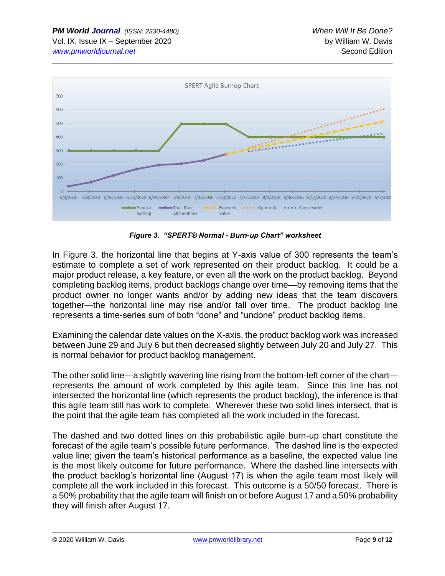

*Figure 3. "SPERT® Normal - Burn-up Chart" worksheet*

In Figure 3, the horizontal line that begins at Y-axis value of 300 represents the team's estimate to complete a set of work represented on their product backlog. It could be a major product release, a key feature, or even all the work on the product backlog. Beyond completing backlog items, product backlogs change over time—by removing items that the product owner no longer wants and/or by adding new ideas that the team discovers together—the horizontal line may rise and/or fall over time. The product backlog line represents a time-series sum of both "done" and "undone" product backlog items.

Examining the calendar date values on the X-axis, the product backlog work was increased between June 29 and July 6 but then decreased slightly between July 20 and July 27. This is normal behavior for product backlog management.

The other solid line—a slightly wavering line rising from the bottom-left corner of the chart represents the amount of work completed by this agile team. Since this line has not intersected the horizontal line (which represents the product backlog), the inference is that this agile team still has work to complete. Wherever these two solid lines intersect, that is the point that the agile team has completed all the work included in the forecast.

The dashed and two dotted lines on this probabilistic agile burn-up chart constitute the forecast of the agile team's possible future performance. The dashed line is the expected value line; given the team's historical performance as a baseline, the expected value line is the most likely outcome for future performance. Where the dashed line intersects with the product backlog's horizontal line (August 17) is when the agile team most likely will complete all the work included in this forecast. This outcome is a 50/50 forecast. There is a 50% probability that the agile team will finish on or before August 17 and a 50% probability they will finish after August 17.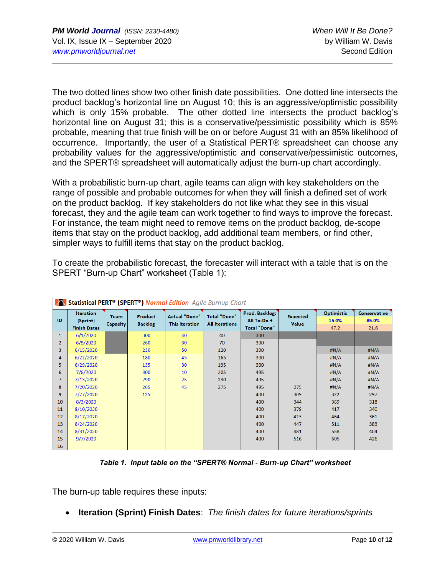The two dotted lines show two other finish date possibilities. One dotted line intersects the product backlog's horizontal line on August 10; this is an aggressive/optimistic possibility which is only 15% probable. The other dotted line intersects the product backlog's horizontal line on August 31; this is a conservative/pessimistic possibility which is 85% probable, meaning that true finish will be on or before August 31 with an 85% likelihood of occurrence. Importantly, the user of a Statistical PERT® spreadsheet can choose any probability values for the aggressive/optimistic and conservative/pessimistic outcomes, and the SPERT® spreadsheet will automatically adjust the burn-up chart accordingly.

With a probabilistic burn-up chart, agile teams can align with key stakeholders on the range of possible and probable outcomes for when they will finish a defined set of work on the product backlog. If key stakeholders do not like what they see in this visual forecast, they and the agile team can work together to find ways to improve the forecast. For instance, the team might need to remove items on the product backlog, de-scope items that stay on the product backlog, add additional team members, or find other, simpler ways to fulfill items that stay on the product backlog.

To create the probabilistic forecast, the forecaster will interact with a table that is on the SPERT "Burn-up Chart" worksheet (Table 1):

| --             |                                                     |                         |                                  |                                               |                                              |                                                     |                                 |                             |                               |
|----------------|-----------------------------------------------------|-------------------------|----------------------------------|-----------------------------------------------|----------------------------------------------|-----------------------------------------------------|---------------------------------|-----------------------------|-------------------------------|
| ID             | <b>Iteration</b><br>(Sprint)<br><b>Finish Dates</b> | <b>Team</b><br>Capacity | <b>Product</b><br><b>Backlog</b> | <b>Actual "Done"</b><br><b>This Iteration</b> | <b>Total "Done"</b><br><b>All Iterations</b> | Prod. Backlog:<br>All To-Do+<br><b>Total "Done"</b> | <b>Expected</b><br><b>Value</b> | Optimistic<br>15.0%<br>47.2 | Conservative<br>85.0%<br>21.6 |
| $\mathbf{1}$   | 6/1/2020                                            |                         | 300                              | 40                                            | 40                                           | 300                                                 |                                 |                             |                               |
| $\overline{2}$ | 6/8/2020                                            |                         | 260                              | 30                                            | 70                                           | 300                                                 |                                 |                             |                               |
| 3              | 6/15/2020                                           |                         | 230                              | 50                                            | 120                                          | 300                                                 |                                 | H N/A                       | #N/A                          |
| 4              | 6/22/2020                                           |                         | 180                              | 45                                            | 165                                          | 300                                                 |                                 | H N/A                       | H N/A                         |
| 5              | 6/29/2020                                           |                         | 135                              | 30                                            | 195                                          | 300                                                 |                                 | H N/A                       | H N/A                         |
| 6              | 7/6/2020                                            |                         | 300                              | 10                                            | 205                                          | 495                                                 |                                 | H N/A                       | #N/A                          |
| $\overline{7}$ | 7/13/2020                                           |                         | 290                              | 25                                            | 230                                          | 495                                                 |                                 | H N/A                       | #N/A                          |
| 8              | 7/20/2020                                           |                         | 265                              | 45                                            | 275                                          | 495                                                 | 275                             | H N/A                       | H N/A                         |
| 9              | 7/27/2020                                           |                         | 125                              |                                               |                                              | 400                                                 | 309                             | 322                         | 297                           |
| 10             | 8/3/2020                                            |                         |                                  |                                               |                                              | 400                                                 | 344                             | 369                         | 318                           |
| 11             | 8/10/2020                                           |                         |                                  |                                               |                                              | 400                                                 | 378                             | 417                         | 340                           |
| 12             | 8/17/2020                                           |                         |                                  |                                               |                                              | 400                                                 | 413                             | 464                         | 361                           |
| 13             | 8/24/2020                                           |                         |                                  |                                               |                                              | 400                                                 | 447                             | 511                         | 383                           |
| 14             | 8/31/2020                                           |                         |                                  |                                               |                                              | 400                                                 | 481                             | 558                         | 404                           |
| 15             | 9/7/2020                                            |                         |                                  |                                               |                                              | 400                                                 | 516                             | 605                         | 426                           |
| 16             |                                                     |                         |                                  |                                               |                                              |                                                     |                                 |                             |                               |

| Statistical PERT <sup>®</sup> (SPERT <sup>®</sup> ) Normal Edition Agile Burnup Chart |  |  |
|---------------------------------------------------------------------------------------|--|--|
|---------------------------------------------------------------------------------------|--|--|

*Table 1. Input table on the "SPERT® Normal - Burn-up Chart" worksheet*

The burn-up table requires these inputs:

• **Iteration (Sprint) Finish Dates**: *The finish dates for future iterations/sprints*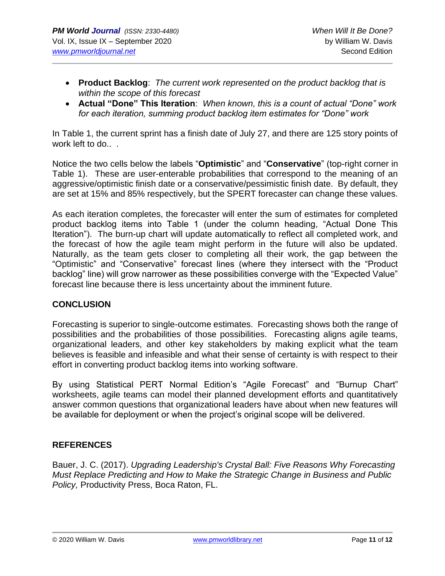- **Product Backlog**: *The current work represented on the product backlog that is within the scope of this forecast*
- **Actual "Done" This Iteration**: *When known, this is a count of actual "Done" work for each iteration, summing product backlog item estimates for "Done" work*

In Table 1, the current sprint has a finish date of July 27, and there are 125 story points of work left to do.. .

Notice the two cells below the labels "**Optimistic**" and "**Conservative**" (top-right corner in Table 1). These are user-enterable probabilities that correspond to the meaning of an aggressive/optimistic finish date or a conservative/pessimistic finish date. By default, they are set at 15% and 85% respectively, but the SPERT forecaster can change these values.

As each iteration completes, the forecaster will enter the sum of estimates for completed product backlog items into Table 1 (under the column heading, "Actual Done This Iteration"). The burn-up chart will update automatically to reflect all completed work, and the forecast of how the agile team might perform in the future will also be updated. Naturally, as the team gets closer to completing all their work, the gap between the "Optimistic" and "Conservative" forecast lines (where they intersect with the "Product backlog" line) will grow narrower as these possibilities converge with the "Expected Value" forecast line because there is less uncertainty about the imminent future.

# **CONCLUSION**

Forecasting is superior to single-outcome estimates. Forecasting shows both the range of possibilities and the probabilities of those possibilities. Forecasting aligns agile teams, organizational leaders, and other key stakeholders by making explicit what the team believes is feasible and infeasible and what their sense of certainty is with respect to their effort in converting product backlog items into working software.

By using Statistical PERT Normal Edition's "Agile Forecast" and "Burnup Chart" worksheets, agile teams can model their planned development efforts and quantitatively answer common questions that organizational leaders have about when new features will be available for deployment or when the project's original scope will be delivered.

# **REFERENCES**

Bauer, J. C. (2017). *Upgrading Leadership's Crystal Ball: Five Reasons Why Forecasting Must Replace Predicting and How to Make the Strategic Change in Business and Public Policy,* Productivity Press, Boca Raton, FL.